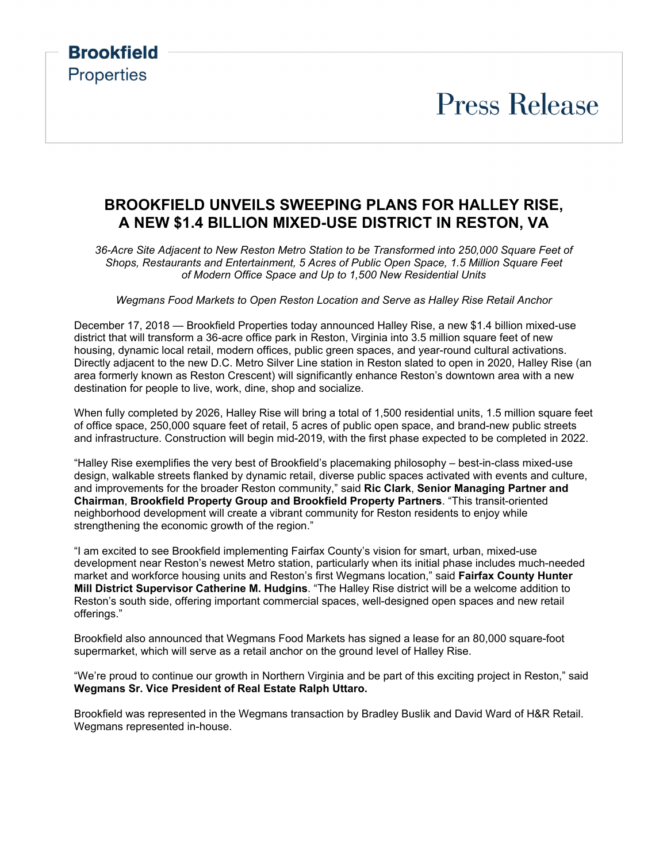# **Press Release**

### **BROOKFIELD UNVEILS SWEEPING PLANS FOR HALLEY RISE, A NEW \$1.4 BILLION MIXED-USE DISTRICT IN RESTON, VA**

**Brookfield** 

**Properties** 

*36-Acre Site Adjacent to New Reston Metro Station to be Transformed into 250,000 Square Feet of Shops, Restaurants and Entertainment, 5 Acres of Public Open Space, 1.5 Million Square Feet of Modern Office Space and Up to 1,500 New Residential Units* 

#### *Wegmans Food Markets to Open Reston Location and Serve as Halley Rise Retail Anchor*

December 17, 2018 — Brookfield Properties today announced Halley Rise, a new \$1.4 billion mixed-use district that will transform a 36-acre office park in Reston, Virginia into 3.5 million square feet of new housing, dynamic local retail, modern offices, public green spaces, and year-round cultural activations. Directly adjacent to the new D.C. Metro Silver Line station in Reston slated to open in 2020, Halley Rise (an area formerly known as Reston Crescent) will significantly enhance Reston's downtown area with a new destination for people to live, work, dine, shop and socialize.

When fully completed by 2026, Halley Rise will bring a total of 1,500 residential units, 1.5 million square feet of office space, 250,000 square feet of retail, 5 acres of public open space, and brand-new public streets and infrastructure. Construction will begin mid-2019, with the first phase expected to be completed in 2022.

"Halley Rise exemplifies the very best of Brookfield's placemaking philosophy – best-in-class mixed-use design, walkable streets flanked by dynamic retail, diverse public spaces activated with events and culture, and improvements for the broader Reston community," said **Ric Clark**, **Senior Managing Partner and Chairman**, **Brookfield Property Group and Brookfield Property Partners**. "This transit-oriented neighborhood development will create a vibrant community for Reston residents to enjoy while strengthening the economic growth of the region."

"I am excited to see Brookfield implementing Fairfax County's vision for smart, urban, mixed-use development near Reston's newest Metro station, particularly when its initial phase includes much-needed market and workforce housing units and Reston's first Wegmans location," said **Fairfax County Hunter Mill District Supervisor Catherine M. Hudgins**. "The Halley Rise district will be a welcome addition to Reston's south side, offering important commercial spaces, well-designed open spaces and new retail offerings."

Brookfield also announced that Wegmans Food Markets has signed a lease for an 80,000 square-foot supermarket, which will serve as a retail anchor on the ground level of Halley Rise.

"We're proud to continue our growth in Northern Virginia and be part of this exciting project in Reston," said **Wegmans Sr. Vice President of Real Estate Ralph Uttaro.**

Brookfield was represented in the Wegmans transaction by Bradley Buslik and David Ward of H&R Retail. Wegmans represented in-house.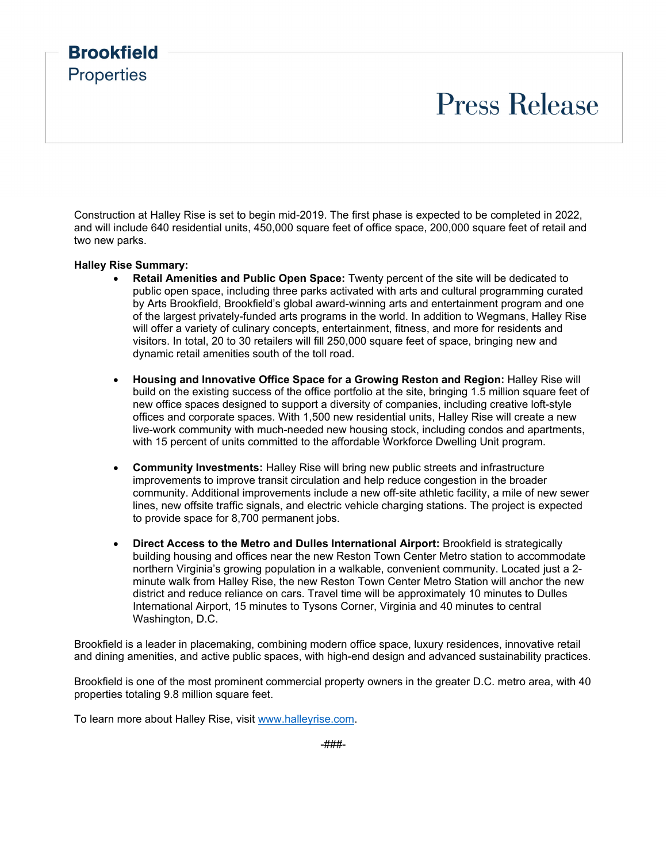## **Brookfield Properties**

## **Press Release**

Construction at Halley Rise is set to begin mid-2019. The first phase is expected to be completed in 2022, and will include 640 residential units, 450,000 square feet of office space, 200,000 square feet of retail and two new parks.

#### **Halley Rise Summary:**

- **Retail Amenities and Public Open Space:** Twenty percent of the site will be dedicated to public open space, including three parks activated with arts and cultural programming curated by Arts Brookfield, Brookfield's global award-winning arts and entertainment program and one of the largest privately-funded arts programs in the world. In addition to Wegmans, Halley Rise will offer a variety of culinary concepts, entertainment, fitness, and more for residents and visitors. In total, 20 to 30 retailers will fill 250,000 square feet of space, bringing new and dynamic retail amenities south of the toll road.
- **Housing and Innovative Office Space for a Growing Reston and Region:** Halley Rise will build on the existing success of the office portfolio at the site, bringing 1.5 million square feet of new office spaces designed to support a diversity of companies, including creative loft-style offices and corporate spaces. With 1,500 new residential units, Halley Rise will create a new live-work community with much-needed new housing stock, including condos and apartments, with 15 percent of units committed to the affordable Workforce Dwelling Unit program.
- **Community Investments:** Halley Rise will bring new public streets and infrastructure improvements to improve transit circulation and help reduce congestion in the broader community. Additional improvements include a new off-site athletic facility, a mile of new sewer lines, new offsite traffic signals, and electric vehicle charging stations. The project is expected to provide space for 8,700 permanent jobs.
- **Direct Access to the Metro and Dulles International Airport:** Brookfield is strategically building housing and offices near the new Reston Town Center Metro station to accommodate northern Virginia's growing population in a walkable, convenient community. Located just a 2 minute walk from Halley Rise, the new Reston Town Center Metro Station will anchor the new district and reduce reliance on cars. Travel time will be approximately 10 minutes to Dulles International Airport, 15 minutes to Tysons Corner, Virginia and 40 minutes to central Washington, D.C.

Brookfield is a leader in placemaking, combining modern office space, luxury residences, innovative retail and dining amenities, and active public spaces, with high-end design and advanced sustainability practices.

Brookfield is one of the most prominent commercial property owners in the greater D.C. metro area, with 40 properties totaling 9.8 million square feet.

To learn more about Halley Rise, visit www.halleyrise.com.